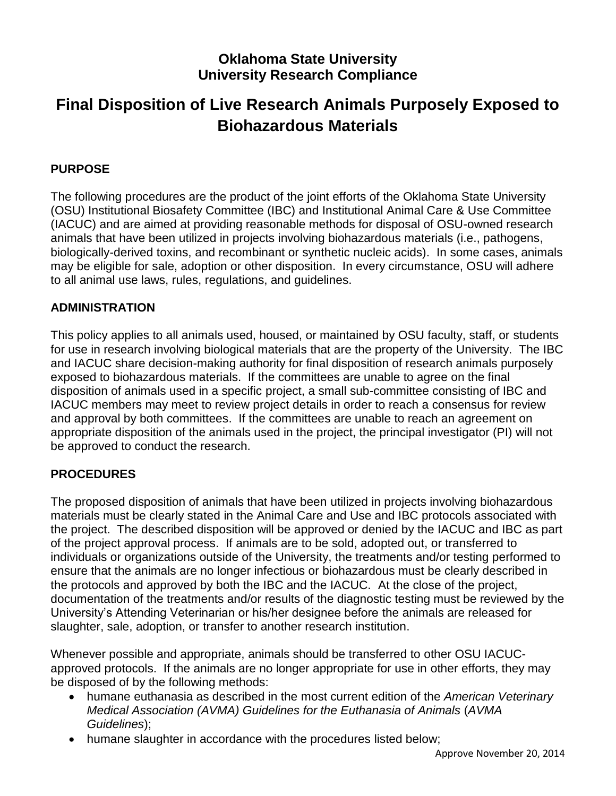# **Oklahoma State University University Research Compliance**

# **Final Disposition of Live Research Animals Purposely Exposed to Biohazardous Materials**

# **PURPOSE**

The following procedures are the product of the joint efforts of the Oklahoma State University (OSU) Institutional Biosafety Committee (IBC) and Institutional Animal Care & Use Committee (IACUC) and are aimed at providing reasonable methods for disposal of OSU-owned research animals that have been utilized in projects involving biohazardous materials (i.e., pathogens, biologically-derived toxins, and recombinant or synthetic nucleic acids). In some cases, animals may be eligible for sale, adoption or other disposition. In every circumstance, OSU will adhere to all animal use laws, rules, regulations, and guidelines.

### **ADMINISTRATION**

This policy applies to all animals used, housed, or maintained by OSU faculty, staff, or students for use in research involving biological materials that are the property of the University. The IBC and IACUC share decision-making authority for final disposition of research animals purposely exposed to biohazardous materials. If the committees are unable to agree on the final disposition of animals used in a specific project, a small sub-committee consisting of IBC and IACUC members may meet to review project details in order to reach a consensus for review and approval by both committees. If the committees are unable to reach an agreement on appropriate disposition of the animals used in the project, the principal investigator (PI) will not be approved to conduct the research.

## **PROCEDURES**

The proposed disposition of animals that have been utilized in projects involving biohazardous materials must be clearly stated in the Animal Care and Use and IBC protocols associated with the project. The described disposition will be approved or denied by the IACUC and IBC as part of the project approval process. If animals are to be sold, adopted out, or transferred to individuals or organizations outside of the University, the treatments and/or testing performed to ensure that the animals are no longer infectious or biohazardous must be clearly described in the protocols and approved by both the IBC and the IACUC. At the close of the project, documentation of the treatments and/or results of the diagnostic testing must be reviewed by the University's Attending Veterinarian or his/her designee before the animals are released for slaughter, sale, adoption, or transfer to another research institution.

Whenever possible and appropriate, animals should be transferred to other OSU IACUCapproved protocols. If the animals are no longer appropriate for use in other efforts, they may be disposed of by the following methods:

- humane euthanasia as described in the most current edition of the *American Veterinary Medical Association (AVMA) Guidelines for the Euthanasia of Animals* (*AVMA Guidelines*);
- humane slaughter in accordance with the procedures listed below;